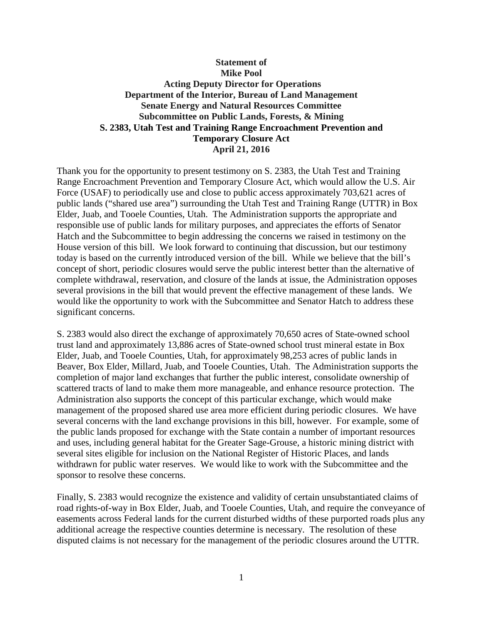# **Statement of Mike Pool Acting Deputy Director for Operations Department of the Interior, Bureau of Land Management Senate Energy and Natural Resources Committee Subcommittee on Public Lands, Forests, & Mining S. 2383, Utah Test and Training Range Encroachment Prevention and Temporary Closure Act April 21, 2016**

Thank you for the opportunity to present testimony on S. 2383, the Utah Test and Training Range Encroachment Prevention and Temporary Closure Act, which would allow the U.S. Air Force (USAF) to periodically use and close to public access approximately 703,621 acres of public lands ("shared use area") surrounding the Utah Test and Training Range (UTTR) in Box Elder, Juab, and Tooele Counties, Utah. The Administration supports the appropriate and responsible use of public lands for military purposes, and appreciates the efforts of Senator Hatch and the Subcommittee to begin addressing the concerns we raised in testimony on the House version of this bill. We look forward to continuing that discussion, but our testimony today is based on the currently introduced version of the bill. While we believe that the bill's concept of short, periodic closures would serve the public interest better than the alternative of complete withdrawal, reservation, and closure of the lands at issue, the Administration opposes several provisions in the bill that would prevent the effective management of these lands. We would like the opportunity to work with the Subcommittee and Senator Hatch to address these significant concerns.

S. 2383 would also direct the exchange of approximately 70,650 acres of State-owned school trust land and approximately 13,886 acres of State-owned school trust mineral estate in Box Elder, Juab, and Tooele Counties, Utah, for approximately 98,253 acres of public lands in Beaver, Box Elder, Millard, Juab, and Tooele Counties, Utah. The Administration supports the completion of major land exchanges that further the public interest, consolidate ownership of scattered tracts of land to make them more manageable, and enhance resource protection. The Administration also supports the concept of this particular exchange, which would make management of the proposed shared use area more efficient during periodic closures. We have several concerns with the land exchange provisions in this bill, however. For example, some of the public lands proposed for exchange with the State contain a number of important resources and uses, including general habitat for the Greater Sage-Grouse, a historic mining district with several sites eligible for inclusion on the National Register of Historic Places, and lands withdrawn for public water reserves. We would like to work with the Subcommittee and the sponsor to resolve these concerns.

Finally, S. 2383 would recognize the existence and validity of certain unsubstantiated claims of road rights-of-way in Box Elder, Juab, and Tooele Counties, Utah, and require the conveyance of easements across Federal lands for the current disturbed widths of these purported roads plus any additional acreage the respective counties determine is necessary. The resolution of these disputed claims is not necessary for the management of the periodic closures around the UTTR.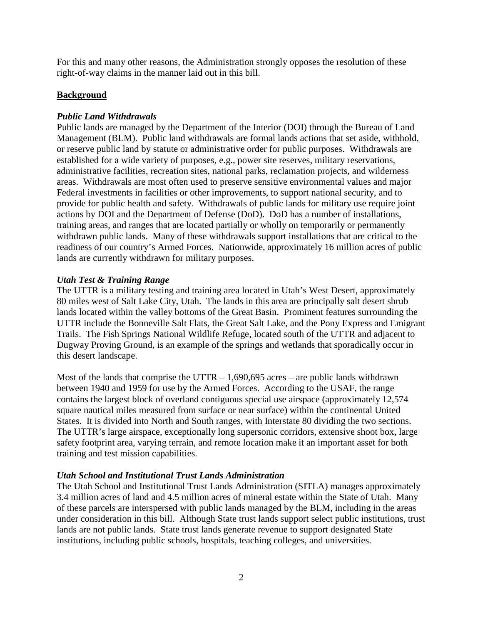For this and many other reasons, the Administration strongly opposes the resolution of these right-of-way claims in the manner laid out in this bill.

### **Background**

### *Public Land Withdrawals*

Public lands are managed by the Department of the Interior (DOI) through the Bureau of Land Management (BLM). Public land withdrawals are formal lands actions that set aside, withhold, or reserve public land by statute or administrative order for public purposes. Withdrawals are established for a wide variety of purposes, e.g., power site reserves, military reservations, administrative facilities, recreation sites, national parks, reclamation projects, and wilderness areas. Withdrawals are most often used to preserve sensitive environmental values and major Federal investments in facilities or other improvements, to support national security, and to provide for public health and safety. Withdrawals of public lands for military use require joint actions by DOI and the Department of Defense (DoD). DoD has a number of installations, training areas, and ranges that are located partially or wholly on temporarily or permanently withdrawn public lands. Many of these withdrawals support installations that are critical to the readiness of our country's Armed Forces. Nationwide, approximately 16 million acres of public lands are currently withdrawn for military purposes.

### *Utah Test & Training Range*

The UTTR is a military testing and training area located in Utah's West Desert, approximately 80 miles west of Salt Lake City, Utah. The lands in this area are principally salt desert shrub lands located within the valley bottoms of the Great Basin. Prominent features surrounding the UTTR include the Bonneville Salt Flats, the Great Salt Lake, and the Pony Express and Emigrant Trails. The Fish Springs National Wildlife Refuge, located south of the UTTR and adjacent to Dugway Proving Ground, is an example of the springs and wetlands that sporadically occur in this desert landscape.

Most of the lands that comprise the UTTR  $- 1,690,695$  acres  $-$  are public lands withdrawn between 1940 and 1959 for use by the Armed Forces. According to the USAF, the range contains the largest block of overland contiguous special use airspace (approximately 12,574 square nautical miles measured from surface or near surface) within the continental United States. It is divided into North and South ranges, with Interstate 80 dividing the two sections. The UTTR's large airspace, exceptionally long supersonic corridors, extensive shoot box, large safety footprint area, varying terrain, and remote location make it an important asset for both training and test mission capabilities.

# *Utah School and Institutional Trust Lands Administration*

The Utah School and Institutional Trust Lands Administration (SITLA) manages approximately 3.4 million acres of land and 4.5 million acres of mineral estate within the State of Utah. Many of these parcels are interspersed with public lands managed by the BLM, including in the areas under consideration in this bill. Although State trust lands support select public institutions, trust lands are not public lands. State trust lands generate revenue to support designated State institutions, including public schools, hospitals, teaching colleges, and universities.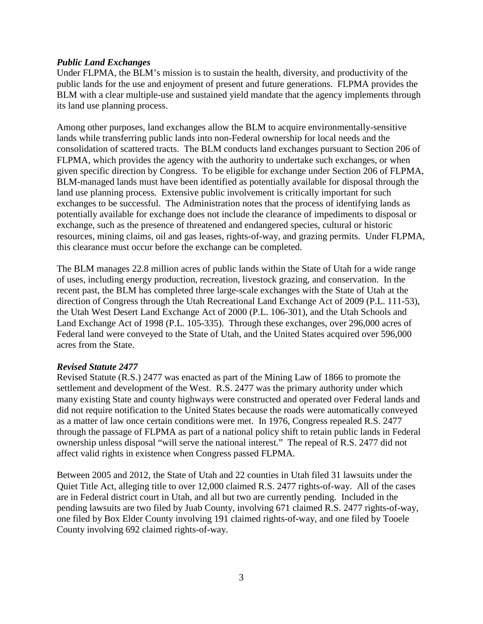#### *Public Land Exchanges*

Under FLPMA, the BLM's mission is to sustain the health, diversity, and productivity of the public lands for the use and enjoyment of present and future generations. FLPMA provides the BLM with a clear multiple-use and sustained yield mandate that the agency implements through its land use planning process.

Among other purposes, land exchanges allow the BLM to acquire environmentally-sensitive lands while transferring public lands into non-Federal ownership for local needs and the consolidation of scattered tracts. The BLM conducts land exchanges pursuant to Section 206 of FLPMA, which provides the agency with the authority to undertake such exchanges, or when given specific direction by Congress. To be eligible for exchange under Section 206 of FLPMA, BLM-managed lands must have been identified as potentially available for disposal through the land use planning process. Extensive public involvement is critically important for such exchanges to be successful. The Administration notes that the process of identifying lands as potentially available for exchange does not include the clearance of impediments to disposal or exchange, such as the presence of threatened and endangered species, cultural or historic resources, mining claims, oil and gas leases, rights-of-way, and grazing permits. Under FLPMA, this clearance must occur before the exchange can be completed.

The BLM manages 22.8 million acres of public lands within the State of Utah for a wide range of uses, including energy production, recreation, livestock grazing, and conservation. In the recent past, the BLM has completed three large-scale exchanges with the State of Utah at the direction of Congress through the Utah Recreational Land Exchange Act of 2009 (P.L. 111-53), the Utah West Desert Land Exchange Act of 2000 (P.L. 106-301), and the Utah Schools and Land Exchange Act of 1998 (P.L. 105-335). Through these exchanges, over 296,000 acres of Federal land were conveyed to the State of Utah, and the United States acquired over 596,000 acres from the State.

#### *Revised Statute 2477*

Revised Statute (R.S.) 2477 was enacted as part of the Mining Law of 1866 to promote the settlement and development of the West. R.S. 2477 was the primary authority under which many existing State and county highways were constructed and operated over Federal lands and did not require notification to the United States because the roads were automatically conveyed as a matter of law once certain conditions were met. In 1976, Congress repealed R.S. 2477 through the passage of FLPMA as part of a national policy shift to retain public lands in Federal ownership unless disposal "will serve the national interest." The repeal of R.S. 2477 did not affect valid rights in existence when Congress passed FLPMA.

Between 2005 and 2012, the State of Utah and 22 counties in Utah filed 31 lawsuits under the Quiet Title Act, alleging title to over 12,000 claimed R.S. 2477 rights-of-way. All of the cases are in Federal district court in Utah, and all but two are currently pending. Included in the pending lawsuits are two filed by Juab County, involving 671 claimed R.S. 2477 rights-of-way, one filed by Box Elder County involving 191 claimed rights-of-way, and one filed by Tooele County involving 692 claimed rights-of-way.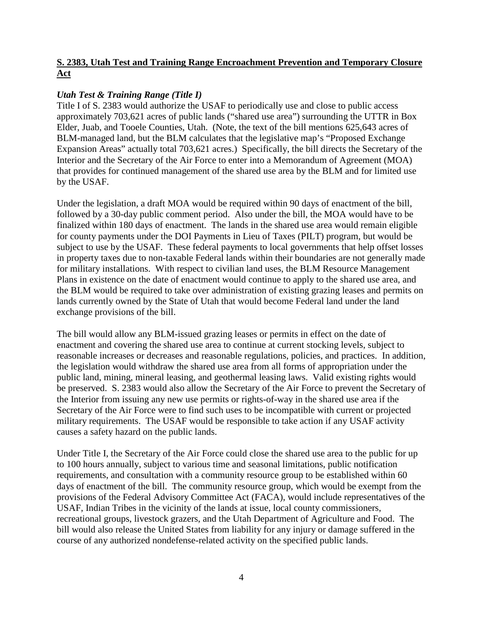# **S. 2383, Utah Test and Training Range Encroachment Prevention and Temporary Closure Act**

### *Utah Test & Training Range (Title I)*

Title I of S. 2383 would authorize the USAF to periodically use and close to public access approximately 703,621 acres of public lands ("shared use area") surrounding the UTTR in Box Elder, Juab, and Tooele Counties, Utah. (Note, the text of the bill mentions 625,643 acres of BLM-managed land, but the BLM calculates that the legislative map's "Proposed Exchange Expansion Areas" actually total 703,621 acres.) Specifically, the bill directs the Secretary of the Interior and the Secretary of the Air Force to enter into a Memorandum of Agreement (MOA) that provides for continued management of the shared use area by the BLM and for limited use by the USAF.

Under the legislation, a draft MOA would be required within 90 days of enactment of the bill, followed by a 30-day public comment period. Also under the bill, the MOA would have to be finalized within 180 days of enactment. The lands in the shared use area would remain eligible for county payments under the DOI Payments in Lieu of Taxes (PILT) program, but would be subject to use by the USAF. These federal payments to local governments that help offset losses in property taxes due to non-taxable Federal lands within their boundaries are not generally made for military installations. With respect to civilian land uses, the BLM Resource Management Plans in existence on the date of enactment would continue to apply to the shared use area, and the BLM would be required to take over administration of existing grazing leases and permits on lands currently owned by the State of Utah that would become Federal land under the land exchange provisions of the bill.

The bill would allow any BLM-issued grazing leases or permits in effect on the date of enactment and covering the shared use area to continue at current stocking levels, subject to reasonable increases or decreases and reasonable regulations, policies, and practices. In addition, the legislation would withdraw the shared use area from all forms of appropriation under the public land, mining, mineral leasing, and geothermal leasing laws. Valid existing rights would be preserved. S. 2383 would also allow the Secretary of the Air Force to prevent the Secretary of the Interior from issuing any new use permits or rights-of-way in the shared use area if the Secretary of the Air Force were to find such uses to be incompatible with current or projected military requirements. The USAF would be responsible to take action if any USAF activity causes a safety hazard on the public lands.

Under Title I, the Secretary of the Air Force could close the shared use area to the public for up to 100 hours annually, subject to various time and seasonal limitations, public notification requirements, and consultation with a community resource group to be established within 60 days of enactment of the bill. The community resource group, which would be exempt from the provisions of the Federal Advisory Committee Act (FACA), would include representatives of the USAF, Indian Tribes in the vicinity of the lands at issue, local county commissioners, recreational groups, livestock grazers, and the Utah Department of Agriculture and Food. The bill would also release the United States from liability for any injury or damage suffered in the course of any authorized nondefense-related activity on the specified public lands.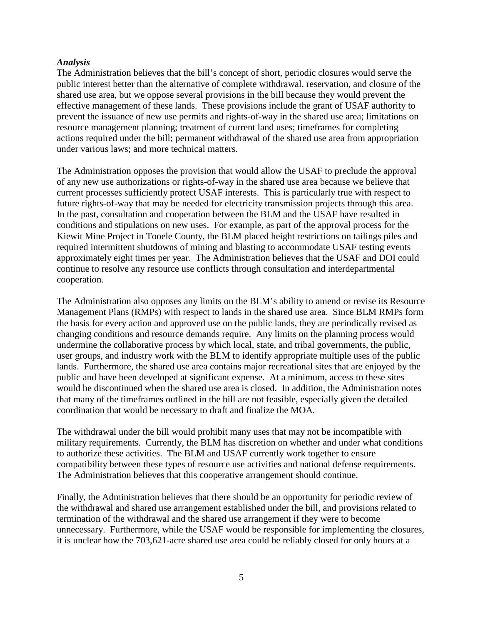#### *Analysis*

The Administration believes that the bill's concept of short, periodic closures would serve the public interest better than the alternative of complete withdrawal, reservation, and closure of the shared use area, but we oppose several provisions in the bill because they would prevent the effective management of these lands. These provisions include the grant of USAF authority to prevent the issuance of new use permits and rights-of-way in the shared use area; limitations on resource management planning; treatment of current land uses; timeframes for completing actions required under the bill; permanent withdrawal of the shared use area from appropriation under various laws; and more technical matters.

The Administration opposes the provision that would allow the USAF to preclude the approval of any new use authorizations or rights-of-way in the shared use area because we believe that current processes sufficiently protect USAF interests. This is particularly true with respect to future rights-of-way that may be needed for electricity transmission projects through this area. In the past, consultation and cooperation between the BLM and the USAF have resulted in conditions and stipulations on new uses. For example, as part of the approval process for the Kiewit Mine Project in Tooele County, the BLM placed height restrictions on tailings piles and required intermittent shutdowns of mining and blasting to accommodate USAF testing events approximately eight times per year. The Administration believes that the USAF and DOI could continue to resolve any resource use conflicts through consultation and interdepartmental cooperation.

The Administration also opposes any limits on the BLM's ability to amend or revise its Resource Management Plans (RMPs) with respect to lands in the shared use area. Since BLM RMPs form the basis for every action and approved use on the public lands, they are periodically revised as changing conditions and resource demands require. Any limits on the planning process would undermine the collaborative process by which local, state, and tribal governments, the public, user groups, and industry work with the BLM to identify appropriate multiple uses of the public lands. Furthermore, the shared use area contains major recreational sites that are enjoyed by the public and have been developed at significant expense. At a minimum, access to these sites would be discontinued when the shared use area is closed. In addition, the Administration notes that many of the timeframes outlined in the bill are not feasible, especially given the detailed coordination that would be necessary to draft and finalize the MOA.

The withdrawal under the bill would prohibit many uses that may not be incompatible with military requirements. Currently, the BLM has discretion on whether and under what conditions to authorize these activities. The BLM and USAF currently work together to ensure compatibility between these types of resource use activities and national defense requirements. The Administration believes that this cooperative arrangement should continue.

Finally, the Administration believes that there should be an opportunity for periodic review of the withdrawal and shared use arrangement established under the bill, and provisions related to termination of the withdrawal and the shared use arrangement if they were to become unnecessary. Furthermore, while the USAF would be responsible for implementing the closures, it is unclear how the 703,621-acre shared use area could be reliably closed for only hours at a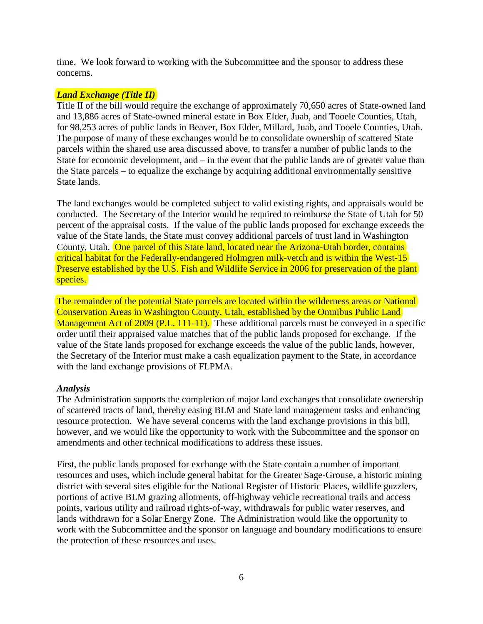time. We look forward to working with the Subcommittee and the sponsor to address these concerns.

### *Land Exchange (Title II)*

Title II of the bill would require the exchange of approximately 70,650 acres of State-owned land and 13,886 acres of State-owned mineral estate in Box Elder, Juab, and Tooele Counties, Utah, for 98,253 acres of public lands in Beaver, Box Elder, Millard, Juab, and Tooele Counties, Utah. The purpose of many of these exchanges would be to consolidate ownership of scattered State parcels within the shared use area discussed above, to transfer a number of public lands to the State for economic development, and – in the event that the public lands are of greater value than the State parcels – to equalize the exchange by acquiring additional environmentally sensitive State lands.

The land exchanges would be completed subject to valid existing rights, and appraisals would be conducted. The Secretary of the Interior would be required to reimburse the State of Utah for 50 percent of the appraisal costs. If the value of the public lands proposed for exchange exceeds the value of the State lands, the State must convey additional parcels of trust land in Washington County, Utah. One parcel of this State land, located near the Arizona-Utah border, contains critical habitat for the Federally-endangered Holmgren milk-vetch and is within the West-15 Preserve established by the U.S. Fish and Wildlife Service in 2006 for preservation of the plant species.

The remainder of the potential State parcels are located within the wilderness areas or National Conservation Areas in Washington County, Utah, established by the Omnibus Public Land Management Act of 2009 (P.L. 111-11). These additional parcels must be conveyed in a specific order until their appraised value matches that of the public lands proposed for exchange. If the value of the State lands proposed for exchange exceeds the value of the public lands, however, the Secretary of the Interior must make a cash equalization payment to the State, in accordance with the land exchange provisions of FLPMA.

#### *Analysis*

The Administration supports the completion of major land exchanges that consolidate ownership of scattered tracts of land, thereby easing BLM and State land management tasks and enhancing resource protection. We have several concerns with the land exchange provisions in this bill, however, and we would like the opportunity to work with the Subcommittee and the sponsor on amendments and other technical modifications to address these issues.

First, the public lands proposed for exchange with the State contain a number of important resources and uses, which include general habitat for the Greater Sage-Grouse, a historic mining district with several sites eligible for the National Register of Historic Places, wildlife guzzlers, portions of active BLM grazing allotments, off-highway vehicle recreational trails and access points, various utility and railroad rights-of-way, withdrawals for public water reserves, and lands withdrawn for a Solar Energy Zone. The Administration would like the opportunity to work with the Subcommittee and the sponsor on language and boundary modifications to ensure the protection of these resources and uses.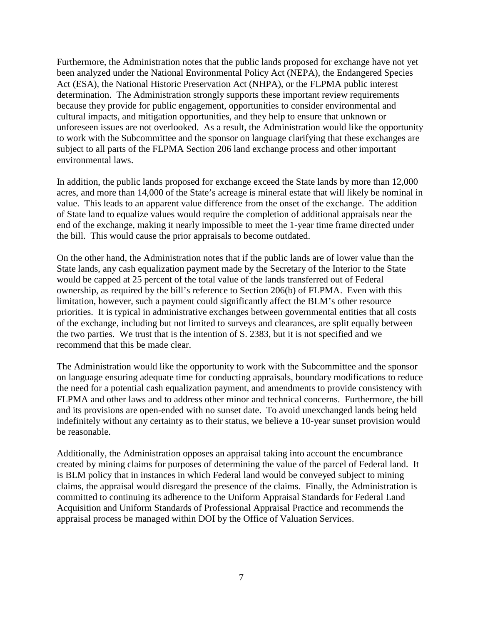Furthermore, the Administration notes that the public lands proposed for exchange have not yet been analyzed under the National Environmental Policy Act (NEPA), the Endangered Species Act (ESA), the National Historic Preservation Act (NHPA), or the FLPMA public interest determination. The Administration strongly supports these important review requirements because they provide for public engagement, opportunities to consider environmental and cultural impacts, and mitigation opportunities, and they help to ensure that unknown or unforeseen issues are not overlooked. As a result, the Administration would like the opportunity to work with the Subcommittee and the sponsor on language clarifying that these exchanges are subject to all parts of the FLPMA Section 206 land exchange process and other important environmental laws.

In addition, the public lands proposed for exchange exceed the State lands by more than 12,000 acres, and more than 14,000 of the State's acreage is mineral estate that will likely be nominal in value. This leads to an apparent value difference from the onset of the exchange. The addition of State land to equalize values would require the completion of additional appraisals near the end of the exchange, making it nearly impossible to meet the 1-year time frame directed under the bill. This would cause the prior appraisals to become outdated.

On the other hand, the Administration notes that if the public lands are of lower value than the State lands, any cash equalization payment made by the Secretary of the Interior to the State would be capped at 25 percent of the total value of the lands transferred out of Federal ownership, as required by the bill's reference to Section 206(b) of FLPMA. Even with this limitation, however, such a payment could significantly affect the BLM's other resource priorities. It is typical in administrative exchanges between governmental entities that all costs of the exchange, including but not limited to surveys and clearances, are split equally between the two parties. We trust that is the intention of S. 2383, but it is not specified and we recommend that this be made clear.

The Administration would like the opportunity to work with the Subcommittee and the sponsor on language ensuring adequate time for conducting appraisals, boundary modifications to reduce the need for a potential cash equalization payment, and amendments to provide consistency with FLPMA and other laws and to address other minor and technical concerns. Furthermore, the bill and its provisions are open-ended with no sunset date. To avoid unexchanged lands being held indefinitely without any certainty as to their status, we believe a 10-year sunset provision would be reasonable.

Additionally, the Administration opposes an appraisal taking into account the encumbrance created by mining claims for purposes of determining the value of the parcel of Federal land. It is BLM policy that in instances in which Federal land would be conveyed subject to mining claims, the appraisal would disregard the presence of the claims. Finally, the Administration is committed to continuing its adherence to the Uniform Appraisal Standards for Federal Land Acquisition and Uniform Standards of Professional Appraisal Practice and recommends the appraisal process be managed within DOI by the Office of Valuation Services.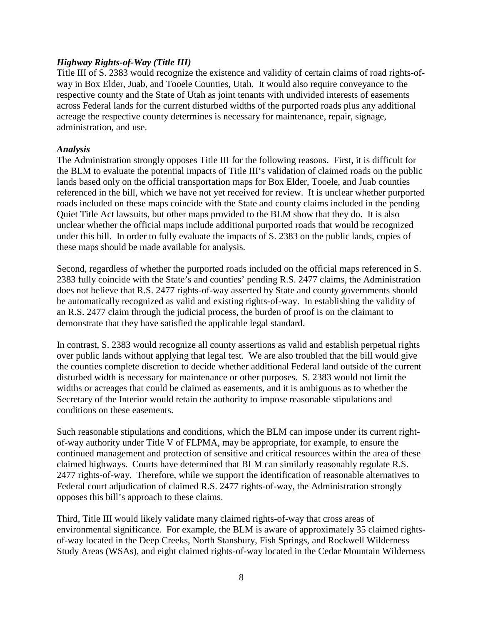#### *Highway Rights-of-Way (Title III)*

Title III of S. 2383 would recognize the existence and validity of certain claims of road rights-ofway in Box Elder, Juab, and Tooele Counties, Utah. It would also require conveyance to the respective county and the State of Utah as joint tenants with undivided interests of easements across Federal lands for the current disturbed widths of the purported roads plus any additional acreage the respective county determines is necessary for maintenance, repair, signage, administration, and use.

#### *Analysis*

The Administration strongly opposes Title III for the following reasons. First, it is difficult for the BLM to evaluate the potential impacts of Title III's validation of claimed roads on the public lands based only on the official transportation maps for Box Elder, Tooele, and Juab counties referenced in the bill, which we have not yet received for review. It is unclear whether purported roads included on these maps coincide with the State and county claims included in the pending Quiet Title Act lawsuits, but other maps provided to the BLM show that they do. It is also unclear whether the official maps include additional purported roads that would be recognized under this bill. In order to fully evaluate the impacts of S. 2383 on the public lands, copies of these maps should be made available for analysis.

Second, regardless of whether the purported roads included on the official maps referenced in S. 2383 fully coincide with the State's and counties' pending R.S. 2477 claims, the Administration does not believe that R.S. 2477 rights-of-way asserted by State and county governments should be automatically recognized as valid and existing rights-of-way. In establishing the validity of an R.S. 2477 claim through the judicial process, the burden of proof is on the claimant to demonstrate that they have satisfied the applicable legal standard.

In contrast, S. 2383 would recognize all county assertions as valid and establish perpetual rights over public lands without applying that legal test. We are also troubled that the bill would give the counties complete discretion to decide whether additional Federal land outside of the current disturbed width is necessary for maintenance or other purposes. S. 2383 would not limit the widths or acreages that could be claimed as easements, and it is ambiguous as to whether the Secretary of the Interior would retain the authority to impose reasonable stipulations and conditions on these easements.

Such reasonable stipulations and conditions, which the BLM can impose under its current rightof-way authority under Title V of FLPMA, may be appropriate, for example, to ensure the continued management and protection of sensitive and critical resources within the area of these claimed highways. Courts have determined that BLM can similarly reasonably regulate R.S. 2477 rights-of-way. Therefore, while we support the identification of reasonable alternatives to Federal court adjudication of claimed R.S. 2477 rights-of-way, the Administration strongly opposes this bill's approach to these claims.

Third, Title III would likely validate many claimed rights-of-way that cross areas of environmental significance. For example, the BLM is aware of approximately 35 claimed rightsof-way located in the Deep Creeks, North Stansbury, Fish Springs, and Rockwell Wilderness Study Areas (WSAs), and eight claimed rights-of-way located in the Cedar Mountain Wilderness